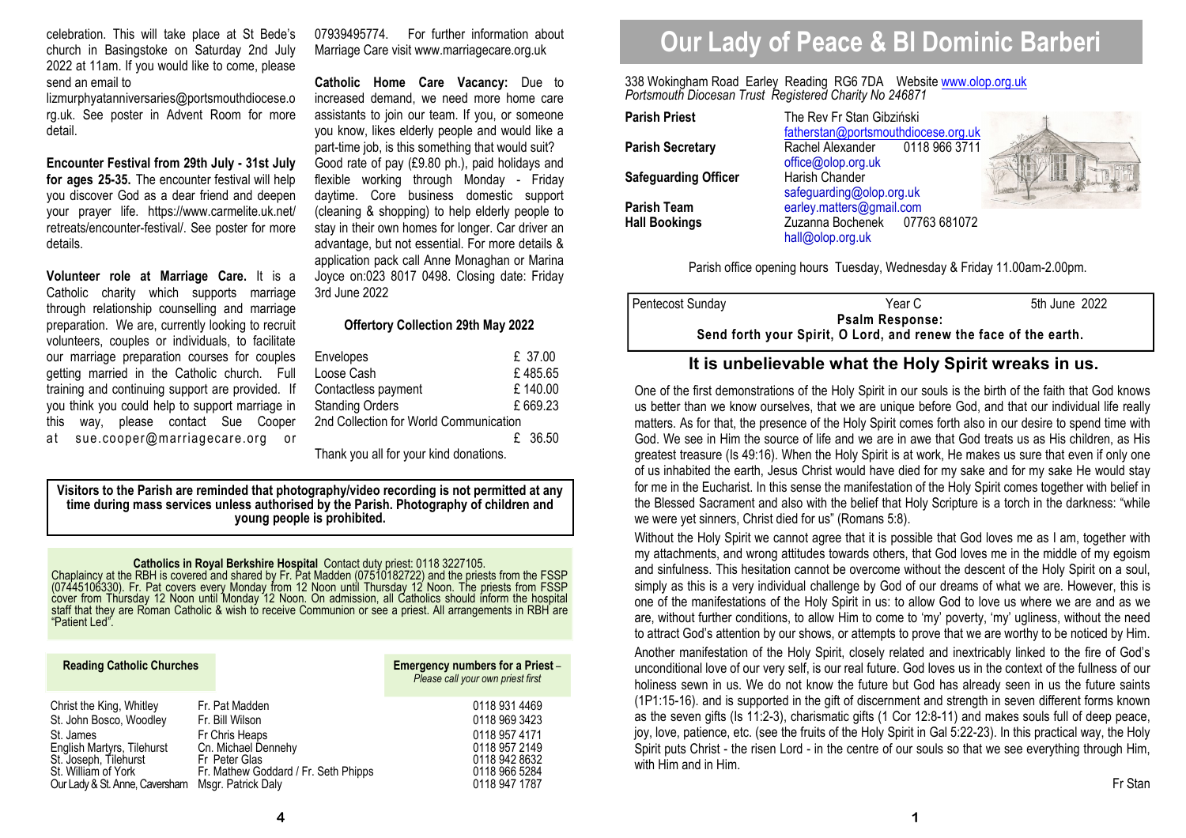celebration. This will take place at St Bede's church in Basingstoke on Saturday 2nd July 2022 at 11am. If you would like to come, please send an email to

lizmurphyatanniversaries@portsmouthdiocese.o rg.uk. See poster in Advent Room for more detail.

**Encounter Festival from 29th July - 31st July for ages 25-35.** The encounter festival will help you discover God as a dear friend and deepen your prayer life. https://www.carmelite.uk.net/ retreats/encounter-festival/. See poster for more details.

**Volunteer role at Marriage Care.** It is a Catholic charity which supports marriage through relationship counselling and marriage preparation. We are, currently looking to recruit volunteers, couples or individuals, to facilitate our marriage preparation courses for couples getting married in the Catholic church. Full training and continuing support are provided. If you think you could help to support marriage in this way, please contact Sue Cooper at sue.cooper@marriagecare.org or

07939495774. For further information about Marriage Care visit www.marriagecare.org.uk

**Catholic Home Care Vacancy:** Due to increased demand, we need more home care assistants to join our team. If you, or someone you know, likes elderly people and would like a part-time job, is this something that would suit? Good rate of pay (£9.80 ph.), paid holidays and flexible working through Monday - Friday daytime. Core business domestic support (cleaning & shopping) to help elderly people to stay in their own homes for longer. Car driver an advantage, but not essential. For more details & application pack call Anne Monaghan or Marina Joyce on:023 8017 0498. Closing date: Friday 3rd June 2022

#### **Offertory Collection 29th May 2022**

| Envelopes                              | £ 37.00   |
|----------------------------------------|-----------|
|                                        |           |
| Loose Cash                             | £485.65   |
| Contactless payment                    | £140.00   |
| <b>Standing Orders</b>                 | £669.23   |
| 2nd Collection for World Communication |           |
|                                        | $f$ 36.50 |

Thank you all for your kind donations.

**Visitors to the Parish are reminded that photography/video recording is not permitted at any time during mass services unless authorised by the Parish. Photography of children and young people is prohibited.** 

**Catholics in Royal Berkshire Hospital** Contact duty priest: 0118 3227105.<br>Chaplaincy at the RBH is covered and shared by Fr. Pat Madden (07510182722) and the priests from the FSSP<br>(07445106330). Fr. Pat covers every Monda

| <b>Reading Catholic Churches</b>                                                                                                                                                 |                                                                                                                                                           | <b>Emergency numbers for a Priest-</b><br>Please call your own priest first                                         |
|----------------------------------------------------------------------------------------------------------------------------------------------------------------------------------|-----------------------------------------------------------------------------------------------------------------------------------------------------------|---------------------------------------------------------------------------------------------------------------------|
| Christ the King, Whitley<br>St. John Bosco, Woodley<br>St. James<br>English Martyrs, Tilehurst<br>St. Joseph, Tilehurst<br>St. William of York<br>Our Lady & St. Anne, Caversham | Fr. Pat Madden<br>Fr. Bill Wilson<br>Fr Chris Heaps<br>Cn. Michael Dennehy<br>Fr Peter Glas<br>Fr. Mathew Goddard / Fr. Seth Phipps<br>Msgr. Patrick Daly | 0118 931 4469<br>0118 969 3423<br>0118 957 4171<br>0118 957 2149<br>0118 942 8632<br>0118 966 5284<br>0118 947 1787 |

# **Our Lady of Peace & Bl Dominic Barberi**

338 Wokingham Road Earley Reading RG6 7DA Website www.olop.org.uk*Portsmouth Diocesan Trust Registered Charity No 246871* 

| <b>Parish Priest</b>        | The Rev Fr Stan Gibziński |
|-----------------------------|---------------------------|
|                             | fatherstan@portsmouthdio  |
| <b>Parish Secretary</b>     | 011<br>Rachel Alexander   |
|                             | office@olop.org.uk        |
| <b>Safeguarding Officer</b> | Harish Chander            |
|                             | safeguarding@olop.org.uk  |
| <b>Parish Team</b>          | earley.matters@gmail.com  |
| <b>Hall Bookings</b>        | Zuzanna Bochenek<br>- 077 |
|                             | hall@olop.org.uk          |

with Him and in Him.

**Parish Priest** The Rev Fr Stan Gibziński fatherstan@portsmouthdiocese.org.uk0118 966 3711 **Rachel Alexander** office@olop.org.uk**Harish Chander**  safeguarding@olop.org.uk 07763 681072 **Hall Bookings** Zuzanna Bochenek 07763 681072 hall@olop.org.uk



Parish office opening hours Tuesday, Wednesday & Friday 11.00am-2.00pm.

| Pentecost Sunday                                                                           | Year Cl | 5th June 2022 |  |  |
|--------------------------------------------------------------------------------------------|---------|---------------|--|--|
| <b>Psalm Response:</b><br>Send forth your Spirit, O Lord, and renew the face of the earth. |         |               |  |  |
|                                                                                            |         |               |  |  |

# **It is unbelievable what the Holy Spirit wreaks in us.**

One of the first demonstrations of the Holy Spirit in our souls is the birth of the faith that God knows us better than we know ourselves, that we are unique before God, and that our individual life really matters. As for that, the presence of the Holy Spirit comes forth also in our desire to spend time with God. We see in Him the source of life and we are in awe that God treats us as His children, as His greatest treasure (Is 49:16). When the Holy Spirit is at work, He makes us sure that even if only one of us inhabited the earth, Jesus Christ would have died for my sake and for my sake He would stay for me in the Eucharist. In this sense the manifestation of the Holy Spirit comes together with belief in the Blessed Sacrament and also with the belief that Holy Scripture is a torch in the darkness: "while we were yet sinners, Christ died for us" (Romans 5:8).

Without the Holy Spirit we cannot agree that it is possible that God loves me as I am, together with my attachments, and wrong attitudes towards others, that God loves me in the middle of my egoism and sinfulness. This hesitation cannot be overcome without the descent of the Holy Spirit on a soul, simply as this is a very individual challenge by God of our dreams of what we are. However, this is one of the manifestations of the Holy Spirit in us: to allow God to love us where we are and as we are, without further conditions, to allow Him to come to 'my' poverty, 'my' ugliness, without the need to attract God's attention by our shows, or attempts to prove that we are worthy to be noticed by Him.Another manifestation of the Holy Spirit, closely related and inextricably linked to the fire of God's unconditional love of our very self, is our real future. God loves us in the context of the fullness of our holiness sewn in us. We do not know the future but God has already seen in us the future saints (1P1:15-16). and is supported in the gift of discernment and strength in seven different forms known as the seven gifts (Is 11:2-3), charismatic gifts (1 Cor 12:8-11) and makes souls full of deep peace, joy, love, patience, etc. (see the fruits of the Holy Spirit in Gal 5:22-23). In this practical way, the Holy Spirit puts Christ - the risen Lord - in the centre of our souls so that we see everything through Him,